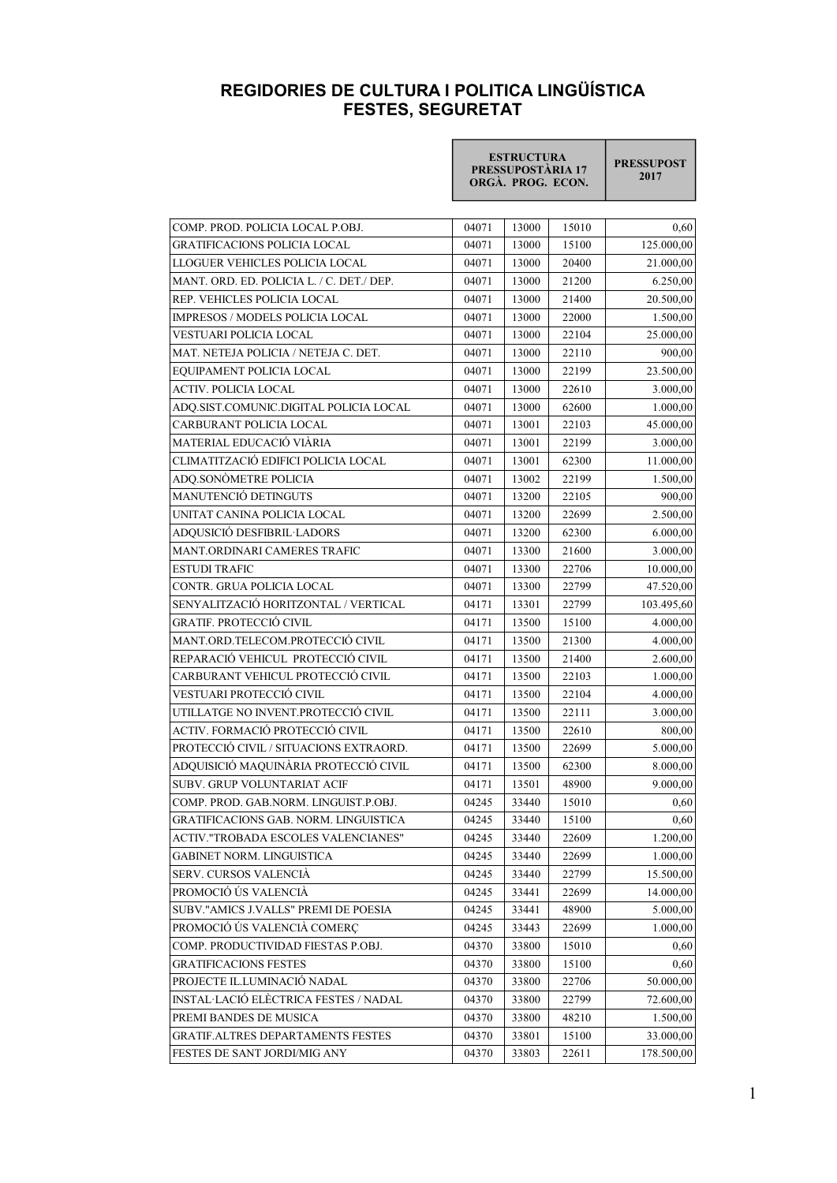## REGIDORIES DE CULTURA I POLITICA LINGÜÍSTICA FESTES, SEGURETAT

|                                           | <b>ESTRUCTURA</b><br>PRESSUPOSTÀRIA 17<br>ORGÀ. PROG. ECON. |       |       | <b>PRESSUPOST</b><br>2017 |
|-------------------------------------------|-------------------------------------------------------------|-------|-------|---------------------------|
| COMP. PROD. POLICIA LOCAL P.OBJ.          | 04071                                                       | 13000 | 15010 | 0,60                      |
| GRATIFICACIONS POLICIA LOCAL              | 04071                                                       | 13000 | 15100 | 125.000,00                |
| LLOGUER VEHICLES POLICIA LOCAL            | 04071                                                       | 13000 | 20400 | 21.000,00                 |
| MANT. ORD. ED. POLICIA L. / C. DET./ DEP. | 04071                                                       | 13000 | 21200 | 6.250,00                  |
| REP. VEHICLES POLICIA LOCAL               | 04071                                                       | 13000 | 21400 | 20.500,00                 |
| IMPRESOS / MODELS POLICIA LOCAL           | 04071                                                       | 13000 | 22000 | 1.500,00                  |
|                                           |                                                             |       |       |                           |
| VESTUARI POLICIA LOCAL                    | 04071                                                       | 13000 | 22104 | 25.000,00                 |
| MAT. NETEJA POLICIA / NETEJA C. DET.      | 04071                                                       | 13000 | 22110 | 900,00                    |
| EQUIPAMENT POLICIA LOCAL                  | 04071                                                       | 13000 | 22199 | 23.500,00                 |
| ACTIV. POLICIA LOCAL                      | 04071                                                       | 13000 | 22610 | 3.000,00                  |
| ADQ.SIST.COMUNIC.DIGITAL POLICIA LOCAL    | 04071                                                       | 13000 | 62600 | 1.000,00                  |
| CARBURANT POLICIA LOCAL                   | 04071                                                       | 13001 | 22103 | 45.000,00                 |
| MATERIAL EDUCACIÓ VIÀRIA                  | 04071                                                       | 13001 | 22199 | 3.000,00                  |
| CLIMATITZACIÓ EDIFICI POLICIA LOCAL       | 04071                                                       | 13001 | 62300 | 11.000,00                 |
| ADQ.SONÒMETRE POLICIA                     | 04071                                                       | 13002 | 22199 | 1.500,00                  |
| MANUTENCIÓ DETINGUTS                      | 04071                                                       | 13200 | 22105 | 900,00                    |
| UNITAT CANINA POLICIA LOCAL               | 04071                                                       | 13200 | 22699 | 2.500,00                  |
| ADQUSICIÓ DESFIBRIL·LADORS                | 04071                                                       | 13200 | 62300 | 6.000,00                  |
| MANT.ORDINARI CAMERES TRAFIC              | 04071                                                       | 13300 | 21600 | 3.000,00                  |
| <b>ESTUDI TRAFIC</b>                      | 04071                                                       | 13300 | 22706 | 10.000,00                 |
| CONTR. GRUA POLICIA LOCAL                 | 04071                                                       | 13300 | 22799 | 47.520,00                 |
| SENYALITZACIÓ HORITZONTAL / VERTICAL      | 04171                                                       | 13301 | 22799 | 103.495,60                |
| <b>GRATIF. PROTECCIÓ CIVIL</b>            | 04171                                                       | 13500 | 15100 | 4.000,00                  |
| MANT.ORD.TELECOM.PROTECCIÓ CIVIL          | 04171                                                       | 13500 | 21300 | 4.000,00                  |
| REPARACIÓ VEHICUL PROTECCIÓ CIVIL         | 04171                                                       | 13500 | 21400 | 2.600,00                  |
| CARBURANT VEHICUL PROTECCIÓ CIVIL         | 04171                                                       | 13500 | 22103 | 1.000,00                  |
| VESTUARI PROTECCIÓ CIVIL                  | 04171                                                       | 13500 | 22104 | 4.000,00                  |
| UTILLATGE NO INVENT.PROTECCIÓ CIVIL       | 04171                                                       | 13500 | 22111 | 3.000,00                  |
| ACTIV. FORMACIÓ PROTECCIÓ CIVIL           | 04171                                                       | 13500 | 22610 | 800,00                    |
| PROTECCIÓ CIVIL / SITUACIONS EXTRAORD.    | 04171                                                       | 13500 | 22699 | 5.000,00                  |
| ADQUISICIÓ MAQUINÀRIA PROTECCIÓ CIVIL     | 04171                                                       | 13500 | 62300 | 8.000,00                  |
| SUBV. GRUP VOLUNTARIAT ACIF               | 04171                                                       | 13501 | 48900 | 9.000,00                  |
| COMP. PROD. GAB.NORM. LINGUIST.P.OBJ.     | 04245                                                       | 33440 | 15010 | 0,60                      |
| GRATIFICACIONS GAB. NORM. LINGUISTICA     | 04245                                                       | 33440 | 15100 | 0,60                      |
| ACTIV."TROBADA ESCOLES VALENCIANES"       | 04245                                                       | 33440 | 22609 | 1.200,00                  |
| <b>GABINET NORM. LINGUISTICA</b>          | 04245                                                       | 33440 | 22699 | 1.000,00                  |
| SERV. CURSOS VALENCIÀ                     | 04245                                                       | 33440 | 22799 | 15.500,00                 |
| PROMOCIÓ ÚS VALENCIÀ                      | 04245                                                       | 33441 | 22699 | 14.000,00                 |
| SUBV."AMICS J.VALLS" PREMI DE POESIA      | 04245                                                       | 33441 | 48900 | 5.000,00                  |
| PROMOCIÓ ÚS VALENCIÀ COMERÇ               | 04245                                                       | 33443 | 22699 | 1.000,00                  |
| COMP. PRODUCTIVIDAD FIESTAS P.OBJ.        | 04370                                                       | 33800 | 15010 | 0,60                      |
| <b>GRATIFICACIONS FESTES</b>              | 04370                                                       | 33800 | 15100 | 0,60                      |
| PROJECTE IL.LUMINACIÓ NADAL               | 04370                                                       | 33800 | 22706 | 50.000,00                 |
| INSTAL·LACIÓ ELÈCTRICA FESTES / NADAL     | 04370                                                       | 33800 | 22799 | 72.600,00                 |
| PREMI BANDES DE MUSICA                    | 04370                                                       | 33800 | 48210 | 1.500,00                  |
| GRATIF.ALTRES DEPARTAMENTS FESTES         | 04370                                                       | 33801 | 15100 | 33.000,00                 |
| FESTES DE SANT JORDI/MIG ANY              | 04370                                                       | 33803 | 22611 | 178.500,00                |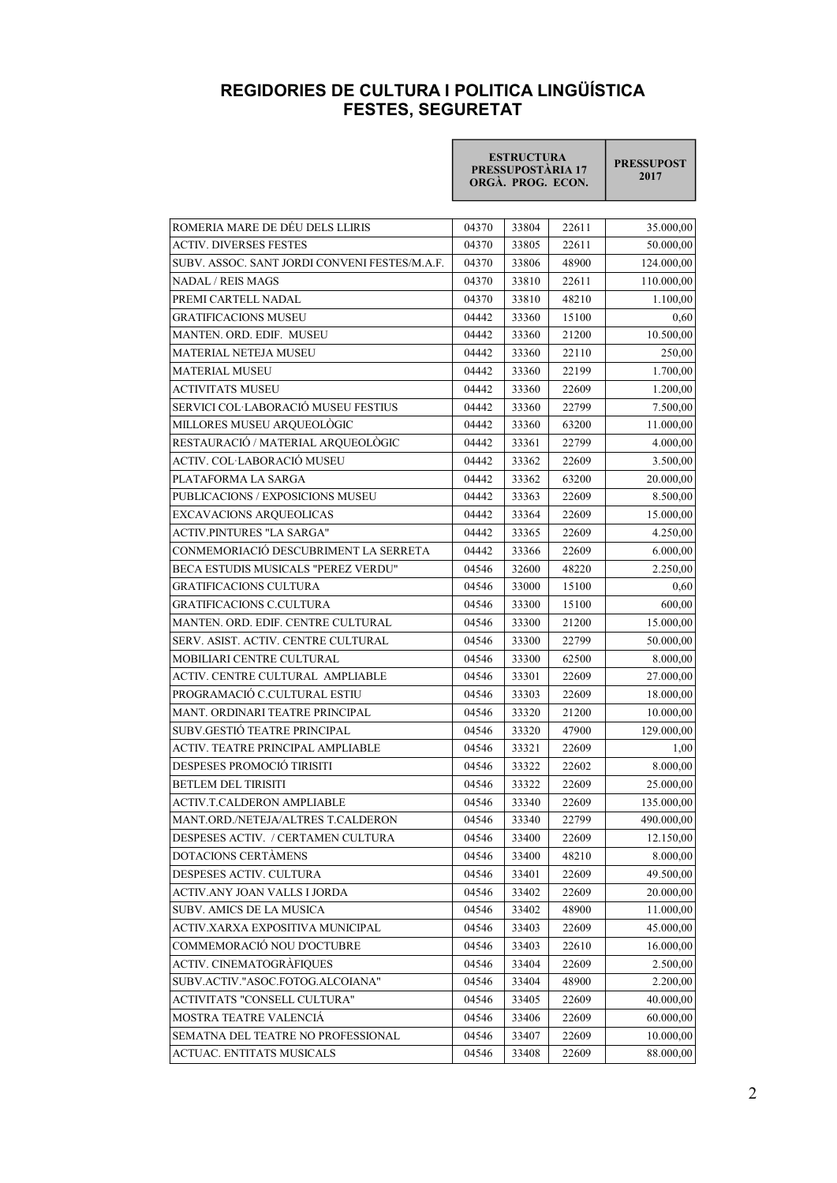## REGIDORIES DE CULTURA I POLITICA LINGÜÍSTICA FESTES, SEGURETAT

|                                               | <b>ESTRUCTURA</b><br>PRESSUPOSTÀRIA 17<br>ORGÀ. PROG. ECON. |       |       | <b>PRESSUPOST</b><br>2017 |
|-----------------------------------------------|-------------------------------------------------------------|-------|-------|---------------------------|
| ROMERIA MARE DE DÉU DELS LLIRIS               | 04370                                                       | 33804 | 22611 | 35.000,00                 |
| <b>ACTIV. DIVERSES FESTES</b>                 | 04370                                                       | 33805 | 22611 | 50.000,00                 |
| SUBV. ASSOC. SANT JORDI CONVENI FESTES/M.A.F. | 04370                                                       | 33806 | 48900 | 124.000,00                |
| <b>NADAL / REIS MAGS</b>                      | 04370                                                       | 33810 | 22611 | 110.000,00                |
| PREMI CARTELL NADAL                           | 04370                                                       | 33810 | 48210 | 1.100,00                  |
| <b>GRATIFICACIONS MUSEU</b>                   | 04442                                                       | 33360 | 15100 | 0,60                      |
| MANTEN. ORD. EDIF. MUSEU                      | 04442                                                       | 33360 | 21200 | 10.500,00                 |
| <b>MATERIAL NETEJA MUSEU</b>                  | 04442                                                       | 33360 | 22110 | 250,00                    |
| <b>MATERIAL MUSEU</b>                         | 04442                                                       | 33360 | 22199 | 1.700,00                  |
| <b>ACTIVITATS MUSEU</b>                       | 04442                                                       | 33360 | 22609 | 1.200,00                  |
| SERVICI COL·LABORACIÓ MUSEU FESTIUS           | 04442                                                       | 33360 | 22799 | 7.500,00                  |
| MILLORES MUSEU ARQUEOLÒGIC                    | 04442                                                       | 33360 | 63200 | 11.000,00                 |
| RESTAURACIÓ / MATERIAL ARQUEOLÒGIC            | 04442                                                       | 33361 | 22799 | 4.000,00                  |
| ACTIV. COL·LABORACIÓ MUSEU                    | 04442                                                       | 33362 | 22609 | 3.500,00                  |
| PLATAFORMA LA SARGA                           | 04442                                                       | 33362 | 63200 | 20.000,00                 |
| PUBLICACIONS / EXPOSICIONS MUSEU              | 04442                                                       | 33363 | 22609 | 8.500,00                  |
| <b>EXCAVACIONS ARQUEOLICAS</b>                | 04442                                                       | 33364 | 22609 | 15.000,00                 |
| <b>ACTIV.PINTURES "LA SARGA"</b>              | 04442                                                       | 33365 | 22609 | 4.250,00                  |
| CONMEMORIACIÓ DESCUBRIMENT LA SERRETA         | 04442                                                       | 33366 | 22609 | 6.000,00                  |
| BECA ESTUDIS MUSICALS "PEREZ VERDU"           | 04546                                                       | 32600 | 48220 | 2.250,00                  |
| <b>GRATIFICACIONS CULTURA</b>                 | 04546                                                       | 33000 | 15100 | 0,60                      |
| <b>GRATIFICACIONS C.CULTURA</b>               | 04546                                                       | 33300 | 15100 | 600,00                    |
| MANTEN. ORD. EDIF. CENTRE CULTURAL            | 04546                                                       | 33300 | 21200 | 15.000,00                 |
| SERV. ASIST. ACTIV. CENTRE CULTURAL           | 04546                                                       | 33300 | 22799 | 50.000,00                 |
| MOBILIARI CENTRE CULTURAL                     | 04546                                                       | 33300 | 62500 | 8.000,00                  |
| ACTIV. CENTRE CULTURAL AMPLIABLE              | 04546                                                       | 33301 | 22609 | 27.000,00                 |
| PROGRAMACIÓ C.CULTURAL ESTIU                  | 04546                                                       | 33303 | 22609 | 18.000,00                 |
| MANT. ORDINARI TEATRE PRINCIPAL               | 04546                                                       | 33320 | 21200 | 10.000,00                 |
| SUBV.GESTIÓ TEATRE PRINCIPAL                  | 04546                                                       | 33320 | 47900 | 129.000,00                |
| ACTIV. TEATRE PRINCIPAL AMPLIABLE             | 04546                                                       | 33321 | 22609 | 1,00                      |
| DESPESES PROMOCIÓ TIRISITI                    | 04546                                                       | 33322 | 22602 | 8.000,00                  |
| BETLEM DEL TIRISITI                           | 04546                                                       | 33322 | 22609 | 25.000,00                 |
| ACTIV.T.CALDERON AMPLIABLE                    | 04546                                                       | 33340 | 22609 | 135.000,00                |
| MANT.ORD./NETEJA/ALTRES T.CALDERON            | 04546                                                       | 33340 | 22799 | 490.000,00                |
| DESPESES ACTIV. / CERTAMEN CULTURA            | 04546                                                       | 33400 | 22609 | 12.150,00                 |
| DOTACIONS CERTAMENS                           | 04546                                                       | 33400 | 48210 | 8.000,00                  |
| DESPESES ACTIV. CULTURA                       | 04546                                                       | 33401 | 22609 | 49.500,00                 |
| ACTIV.ANY JOAN VALLS I JORDA                  | 04546                                                       | 33402 | 22609 | 20.000,00                 |
| SUBV. AMICS DE LA MUSICA                      | 04546                                                       | 33402 | 48900 | 11.000,00                 |
| ACTIV.XARXA EXPOSITIVA MUNICIPAL              | 04546                                                       | 33403 | 22609 | 45.000,00                 |
| COMMEMORACIÓ NOU D'OCTUBRE                    | 04546                                                       | 33403 | 22610 | 16.000,00                 |
| ACTIV. CINEMATOGRÀFIQUES                      | 04546                                                       | 33404 | 22609 | 2.500,00                  |
| SUBV.ACTIV."ASOC.FOTOG.ALCOIANA"              | 04546                                                       | 33404 | 48900 | 2.200,00                  |
| ACTIVITATS "CONSELL CULTURA"                  | 04546                                                       | 33405 | 22609 | 40.000,00                 |
| MOSTRA TEATRE VALENCIÁ                        | 04546                                                       | 33406 | 22609 | 60.000,00                 |
| SEMATNA DEL TEATRE NO PROFESSIONAL            | 04546                                                       | 33407 | 22609 | 10.000,00                 |
| ACTUAC. ENTITATS MUSICALS                     | 04546                                                       | 33408 | 22609 | 88.000,00                 |